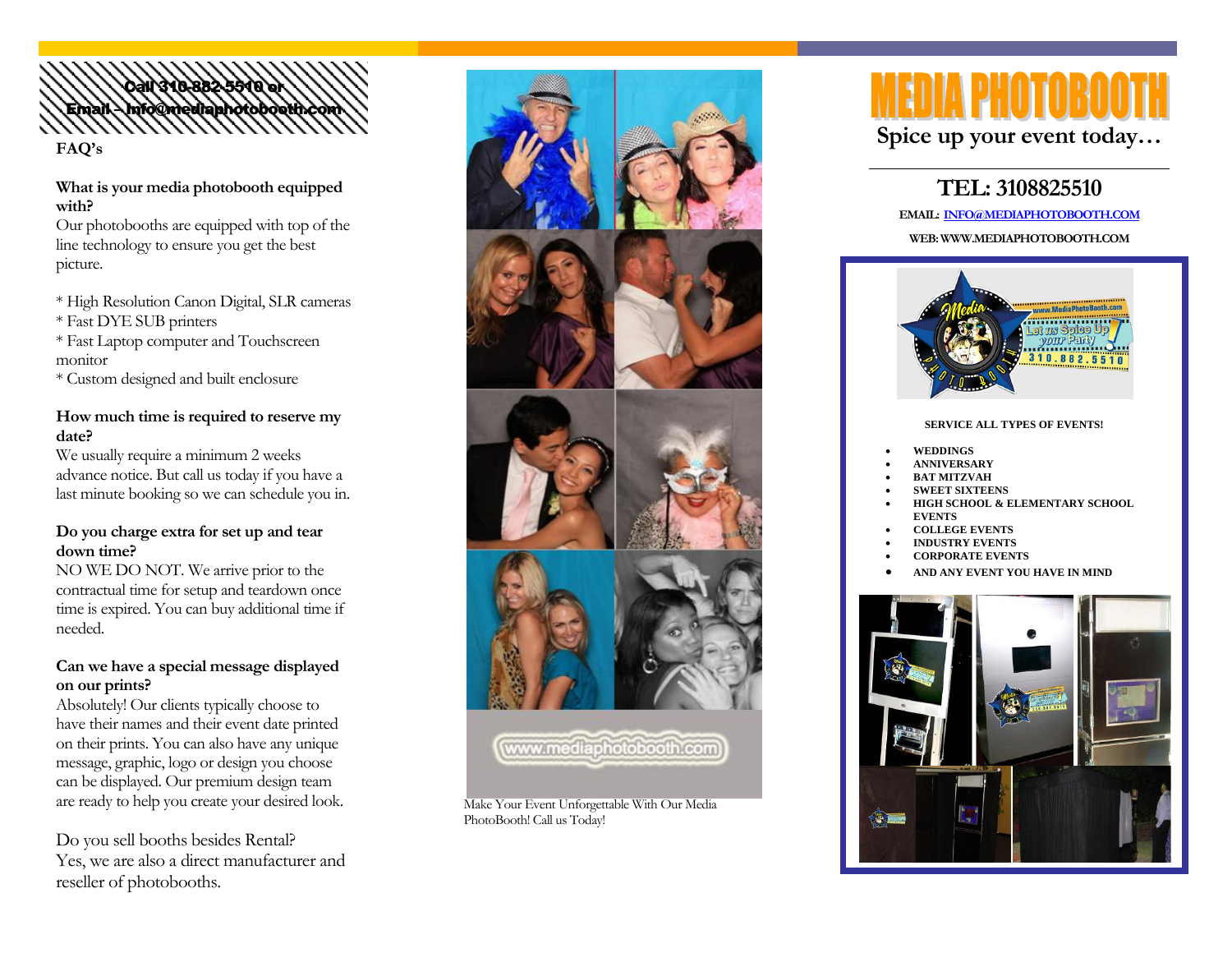

#### **What is your media photobooth equipped with?**

Our photobooths are equipped with top of the line technology to ensure you get the best picture.

- \* High Resolution Canon Digital, SLR cameras
- \* Fast DYE SUB printers
- \* Fast Laptop computer and Touchscreen monitor
- \* Custom designed and built enclosure

#### **How much time is required to reserve my date?**

We usually require a minimum 2 weeks advance notice. But call us today if you have a last minute booking so we can schedule you in.

# **Do you charge extra for set up and tear down time?**

NO WE DO NOT. We arrive prior to the contractual time for setup and teardown once time is expired. You can buy additional time if needed.

# **Can we have a special message displayed on our prints?**

Absolutely! Our clients typically choose to have their names and their event date printed on their prints. You can also have any unique message, graphic, logo or design you choose can be displayed. Our premium design team are ready to help you create your desired look.

Do you sell booths besides Rental? Yes, we are also a direct manufacturer and reseller of photobooths.



PhotoBooth! Call us Today!

# **Spice up your event today…**

# **TEL: 3108825510**

**EMAIL: [INFO@MEDIAPHOTOBOOTH.COM](mailto:info@mediaphotobooth.com)**

**WEB: WWW.MEDIAPHOTOBOOTH.COM**



#### **SERVICE ALL TYPES OF EVENTS!**

- **WEDDINGS**
- **ANNIVERSARY**
- **BAT MITZVAH**
- **SWEET SIXTEENS**
- **HIGH SCHOOL & ELEMENTARY SCHOOL EVENTS**
- **COLLEGE EVENTS**
- **INDUSTRY EVENTS**
- **CORPORATE EVENTS**
- **AND ANY EVENT YOU HAVE IN MIND**